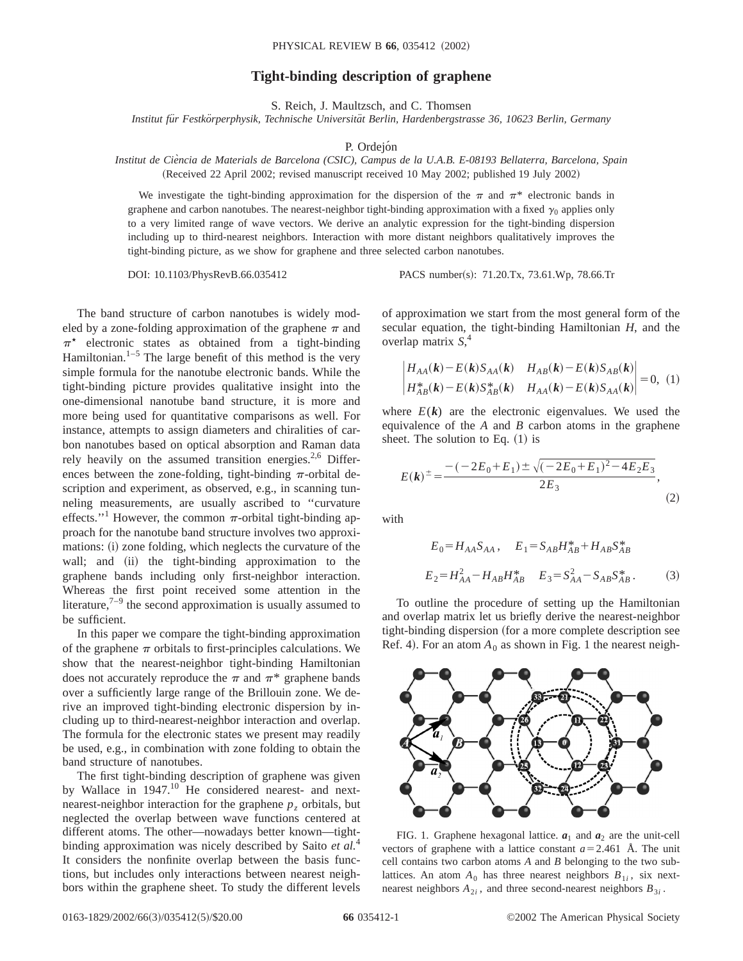## **Tight-binding description of graphene**

S. Reich, J. Maultzsch, and C. Thomsen

*Institut fu¨r Festko¨rperphysik, Technische Universita¨t Berlin, Hardenbergstrasse 36, 10623 Berlin, Germany*

P. Ordejón

*Institut de Cie`ncia de Materials de Barcelona (CSIC), Campus de la U.A.B. E-08193 Bellaterra, Barcelona, Spain* (Received 22 April 2002; revised manuscript received 10 May 2002; published 19 July 2002)

We investigate the tight-binding approximation for the dispersion of the  $\pi$  and  $\pi^*$  electronic bands in graphene and carbon nanotubes. The nearest-neighbor tight-binding approximation with a fixed  $\gamma_0$  applies only to a very limited range of wave vectors. We derive an analytic expression for the tight-binding dispersion including up to third-nearest neighbors. Interaction with more distant neighbors qualitatively improves the tight-binding picture, as we show for graphene and three selected carbon nanotubes.

DOI: 10.1103/PhysRevB.66.035412 PACS number(s): 71.20.Tx, 73.61.Wp, 78.66.Tr

The band structure of carbon nanotubes is widely modeled by a zone-folding approximation of the graphene  $\pi$  and  $\pi^*$  electronic states as obtained from a tight-binding Hamiltonian. $1-5$  The large benefit of this method is the very simple formula for the nanotube electronic bands. While the tight-binding picture provides qualitative insight into the one-dimensional nanotube band structure, it is more and more being used for quantitative comparisons as well. For instance, attempts to assign diameters and chiralities of carbon nanotubes based on optical absorption and Raman data rely heavily on the assumed transition energies. $2.6$  Differences between the zone-folding, tight-binding  $\pi$ -orbital description and experiment, as observed, e.g., in scanning tunneling measurements, are usually ascribed to ''curvature effects."<sup>1</sup> However, the common  $\pi$ -orbital tight-binding approach for the nanotube band structure involves two approximations: (i) zone folding, which neglects the curvature of the wall; and (ii) the tight-binding approximation to the graphene bands including only first-neighbor interaction. Whereas the first point received some attention in the literature, $7-9$  the second approximation is usually assumed to be sufficient.

In this paper we compare the tight-binding approximation of the graphene  $\pi$  orbitals to first-principles calculations. We show that the nearest-neighbor tight-binding Hamiltonian does not accurately reproduce the  $\pi$  and  $\pi^*$  graphene bands over a sufficiently large range of the Brillouin zone. We derive an improved tight-binding electronic dispersion by including up to third-nearest-neighbor interaction and overlap. The formula for the electronic states we present may readily be used, e.g., in combination with zone folding to obtain the band structure of nanotubes.

The first tight-binding description of graphene was given by Wallace in 1947.<sup>10</sup> He considered nearest- and nextnearest-neighbor interaction for the graphene  $p<sub>z</sub>$  orbitals, but neglected the overlap between wave functions centered at different atoms. The other—nowadays better known—tightbinding approximation was nicely described by Saito *et al.*<sup>4</sup> It considers the nonfinite overlap between the basis functions, but includes only interactions between nearest neighbors within the graphene sheet. To study the different levels

of approximation we start from the most general form of the secular equation, the tight-binding Hamiltonian *H*, and the overlap matrix *S*, 4

$$
\begin{vmatrix} H_{AA}(k) - E(k)S_{AA}(k) & H_{AB}(k) - E(k)S_{AB}(k) \\ H_{AB}^*(k) - E(k)S_{AB}^*(k) & H_{AA}(k) - E(k)S_{AA}(k) \end{vmatrix} = 0, (1)
$$

where  $E(k)$  are the electronic eigenvalues. We used the equivalence of the *A* and *B* carbon atoms in the graphene sheet. The solution to Eq.  $(1)$  is

$$
E(k)^{\pm} = \frac{-(-2E_0 + E_1) \pm \sqrt{(-2E_0 + E_1)^2 - 4E_2E_3}}{2E_3},
$$
\n(2)

with

$$
E_0 = H_{AA} S_{AA}, \quad E_1 = S_{AB} H_{AB}^* + H_{AB} S_{AB}^*
$$
  

$$
E_2 = H_{AA}^2 - H_{AB} H_{AB}^* \quad E_3 = S_{AA}^2 - S_{AB} S_{AB}^*.
$$
 (3)

To outline the procedure of setting up the Hamiltonian and overlap matrix let us briefly derive the nearest-neighbor tight-binding dispersion (for a more complete description see Ref. 4). For an atom  $A_0$  as shown in Fig. 1 the nearest neigh-



FIG. 1. Graphene hexagonal lattice.  $a_1$  and  $a_2$  are the unit-cell vectors of graphene with a lattice constant  $a=2.461$  Å. The unit cell contains two carbon atoms *A* and *B* belonging to the two sublattices. An atom  $A_0$  has three nearest neighbors  $B_{1i}$ , six nextnearest neighbors  $A_{2i}$ , and three second-nearest neighbors  $B_{3i}$ .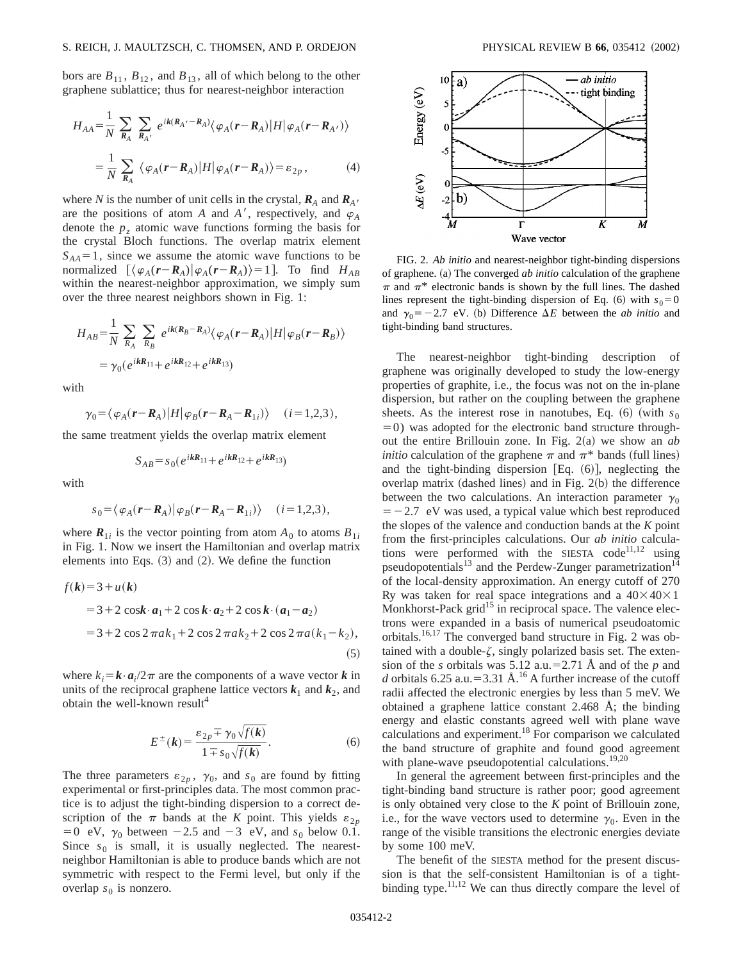bors are  $B_{11}$ ,  $B_{12}$ , and  $B_{13}$ , all of which belong to the other graphene sublattice; thus for nearest-neighbor interaction

$$
H_{AA} = \frac{1}{N} \sum_{R_A} \sum_{R_{A'}} e^{ik(R_{A'} - R_A)} \langle \varphi_A(\mathbf{r} - \mathbf{R}_A) | H | \varphi_A(\mathbf{r} - \mathbf{R}_{A'}) \rangle
$$
  

$$
= \frac{1}{N} \sum_{R_A} \langle \varphi_A(\mathbf{r} - \mathbf{R}_A) | H | \varphi_A(\mathbf{r} - \mathbf{R}_A) \rangle = \varepsilon_{2p},
$$
 (4)

where *N* is the number of unit cells in the crystal,  $\mathbf{R}_A$  and  $\mathbf{R}_{A'}$  are the positions of atom *A* and *A'*, respectively, and  $\varphi_A$ denote the  $p<sub>z</sub>$  atomic wave functions forming the basis for the crystal Bloch functions. The overlap matrix element  $S_{AA} = 1$ , since we assume the atomic wave functions to be normalized  $[\langle \varphi_A(r-R_A) | \varphi_A(r-R_A) \rangle = 1].$  To find  $H_{AB}$ within the nearest-neighbor approximation, we simply sum over the three nearest neighbors shown in Fig. 1:

$$
H_{AB} = \frac{1}{N} \sum_{R_A} \sum_{R_B} e^{ik(R_B - R_A)} \langle \varphi_A(\mathbf{r} - \mathbf{R}_A) | H | \varphi_B(\mathbf{r} - \mathbf{R}_B) \rangle
$$
  
=  $\gamma_0 (e^{ikR_{11}} + e^{ikR_{12}} + e^{ikR_{13}})$ 

with

$$
\gamma_0 = \langle \varphi_A(\mathbf{r} - \mathbf{R}_A) | H | \varphi_B(\mathbf{r} - \mathbf{R}_A - \mathbf{R}_{1i}) \rangle \quad (i = 1, 2, 3),
$$

the same treatment yields the overlap matrix element

$$
S_{AB} = s_0 (e^{ikR_{11}} + e^{ikR_{12}} + e^{ikR_{13}})
$$

with

$$
s_0 = \langle \varphi_A(\mathbf{r} - \mathbf{R}_A) | \varphi_B(\mathbf{r} - \mathbf{R}_A - \mathbf{R}_{1i}) \rangle \quad (i = 1, 2, 3),
$$

where  $\mathbf{R}_{1i}$  is the vector pointing from atom  $A_0$  to atoms  $B_{1i}$ in Fig. 1. Now we insert the Hamiltonian and overlap matrix elements into Eqs.  $(3)$  and  $(2)$ . We define the function

$$
f(\mathbf{k}) = 3 + u(\mathbf{k})
$$
  
= 3 + 2 cos $\mathbf{k} \cdot \mathbf{a}_1$  + 2 cos $\mathbf{k} \cdot \mathbf{a}_2$  + 2 cos $\mathbf{k} \cdot (\mathbf{a}_1 - \mathbf{a}_2)$   
= 3 + 2 cos 2 $\pi a k_1$  + 2 cos 2 $\pi a k_2$  + 2 cos 2 $\pi a (k_1 - k_2)$ , (5)

where  $k_i = \mathbf{k} \cdot \mathbf{a}_i/2\pi$  are the components of a wave vector *k* in units of the reciprocal graphene lattice vectors  $k_1$  and  $k_2$ , and obtain the well-known result<sup>4</sup>

$$
E^{\pm}(\mathbf{k}) = \frac{\varepsilon_{2p} \pm \gamma_0 \sqrt{f(\mathbf{k})}}{1 \mp s_0 \sqrt{f(\mathbf{k})}}.
$$
 (6)

The three parameters  $\varepsilon_{2p}$ ,  $\gamma_0$ , and  $s_0$  are found by fitting experimental or first-principles data. The most common practice is to adjust the tight-binding dispersion to a correct description of the  $\pi$  bands at the *K* point. This yields  $\varepsilon_{2p}$  $=0$  eV,  $\gamma_0$  between  $-2.5$  and  $-3$  eV, and  $s_0$  below 0.1. Since  $s_0$  is small, it is usually neglected. The nearestneighbor Hamiltonian is able to produce bands which are not symmetric with respect to the Fermi level, but only if the overlap  $s_0$  is nonzero.



FIG. 2. *Ab initio* and nearest-neighbor tight-binding dispersions of graphene. (a) The converged *ab initio* calculation of the graphene  $\pi$  and  $\pi^*$  electronic bands is shown by the full lines. The dashed lines represent the tight-binding dispersion of Eq. (6) with  $s_0=0$ and  $\gamma_0 = -2.7$  eV. (b) Difference  $\Delta E$  between the *ab initio* and tight-binding band structures.

The nearest-neighbor tight-binding description of graphene was originally developed to study the low-energy properties of graphite, i.e., the focus was not on the in-plane dispersion, but rather on the coupling between the graphene sheets. As the interest rose in nanotubes, Eq.  $(6)$  (with  $s_0$ )  $=0$ ) was adopted for the electronic band structure throughout the entire Brillouin zone. In Fig.  $2(a)$  we show an *ab initio* calculation of the graphene  $\pi$  and  $\pi^*$  bands (full lines) and the tight-binding dispersion [Eq.  $(6)$ ], neglecting the overlap matrix (dashed lines) and in Fig.  $2(b)$  the difference between the two calculations. An interaction parameter  $\gamma_0$  $=$  -2.7 eV was used, a typical value which best reproduced the slopes of the valence and conduction bands at the *K* point from the first-principles calculations. Our *ab initio* calculations were performed with the SIESTA code<sup>11,12</sup> using pseudopotentials<sup>13</sup> and the Perdew-Zunger parametrization<sup>14</sup> of the local-density approximation. An energy cutoff of 270 Ry was taken for real space integrations and a  $40\times40\times1$ Monkhorst-Pack grid<sup>15</sup> in reciprocal space. The valence electrons were expanded in a basis of numerical pseudoatomic orbitals.16,17 The converged band structure in Fig. 2 was obtained with a double- $\zeta$ , singly polarized basis set. The extension of the *s* orbitals was 5.12 a.u.=2.71 Å and of the *p* and *d* orbitals 6.25 a.u.=3.31 Å.<sup>16</sup> A further increase of the cutoff radii affected the electronic energies by less than 5 meV. We obtained a graphene lattice constant 2.468 Å; the binding energy and elastic constants agreed well with plane wave calculations and experiment.18 For comparison we calculated the band structure of graphite and found good agreement with plane-wave pseudopotential calculations.<sup>19,20</sup>

In general the agreement between first-principles and the tight-binding band structure is rather poor; good agreement is only obtained very close to the *K* point of Brillouin zone, i.e., for the wave vectors used to determine  $\gamma_0$ . Even in the range of the visible transitions the electronic energies deviate by some 100 meV.

The benefit of the SIESTA method for the present discussion is that the self-consistent Hamiltonian is of a tightbinding type.<sup>11,12</sup> We can thus directly compare the level of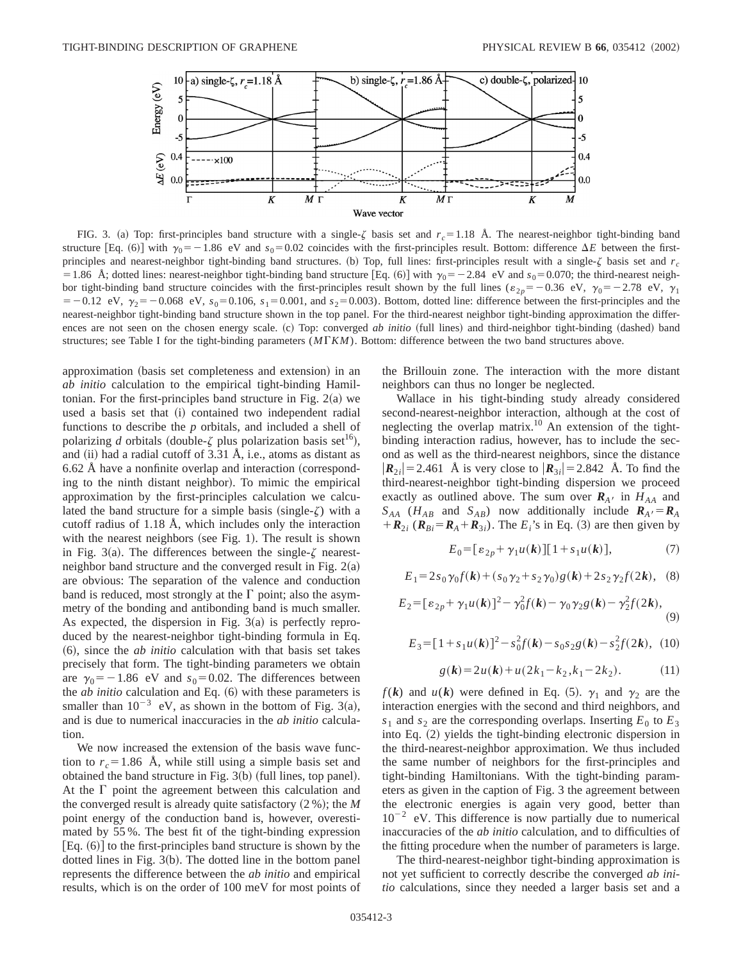

FIG. 3. (a) Top: first-principles band structure with a single- $\zeta$  basis set and  $r_c = 1.18$  Å. The nearest-neighbor tight-binding band structure [Eq. (6)] with  $\gamma_0 = -1.86$  eV and  $s_0 = 0.02$  coincides with the first-principles result. Bottom: difference  $\Delta E$  between the firstprinciples and nearest-neighbor tight-binding band structures. (b) Top, full lines: first-principles result with a single- $\zeta$  basis set and  $r_c$ = 1.86 Å; dotted lines: nearest-neighbor tight-binding band structure [Eq. (6)] with  $\gamma_0 = -2.84$  eV and  $s_0 = 0.070$ ; the third-nearest neighbor tight-binding band structure coincides with the first-principles result shown by the full lines ( $\varepsilon_{2p}=-0.36$  eV,  $\gamma_0=-2.78$  eV,  $\gamma_1$  $=$  -0.12 eV,  $\gamma_2$  = -0.068 eV,  $s_0$  = 0.106,  $s_1$  = 0.001, and  $s_2$  = 0.003). Bottom, dotted line: difference between the first-principles and the nearest-neighbor tight-binding band structure shown in the top panel. For the third-nearest neighbor tight-binding approximation the differences are not seen on the chosen energy scale. (c) Top: converged *ab initio* (full lines) and third-neighbor tight-binding (dashed) band structures; see Table I for the tight-binding parameters ( $M\Gamma K M$ ). Bottom: difference between the two band structures above.

approximation (basis set completeness and extension) in an *ab initio* calculation to the empirical tight-binding Hamiltonian. For the first-principles band structure in Fig.  $2(a)$  we used a basis set that (i) contained two independent radial functions to describe the *p* orbitals, and included a shell of polarizing *d* orbitals (double- $\zeta$  plus polarization basis set<sup>16</sup>), and  $(ii)$  had a radial cutoff of 3.31 Å, i.e., atoms as distant as  $6.62$  Å have a nonfinite overlap and interaction (corresponding to the ninth distant neighbor). To mimic the empirical approximation by the first-principles calculation we calculated the band structure for a simple basis (single- $\zeta$ ) with a cutoff radius of 1.18 Å, which includes only the interaction with the nearest neighbors (see Fig. 1). The result is shown in Fig. 3(a). The differences between the single- $\zeta$  nearestneighbor band structure and the converged result in Fig.  $2(a)$ are obvious: The separation of the valence and conduction band is reduced, most strongly at the  $\Gamma$  point; also the asymmetry of the bonding and antibonding band is much smaller. As expected, the dispersion in Fig.  $3(a)$  is perfectly reproduced by the nearest-neighbor tight-binding formula in Eq. ~6!, since the *ab initio* calculation with that basis set takes precisely that form. The tight-binding parameters we obtain are  $\gamma_0 = -1.86$  eV and  $s_0 = 0.02$ . The differences between the  $ab$  *initio* calculation and Eq.  $(6)$  with these parameters is smaller than  $10^{-3}$  eV, as shown in the bottom of Fig. 3(a), and is due to numerical inaccuracies in the *ab initio* calculation.

We now increased the extension of the basis wave function to  $r_c = 1.86$  Å, while still using a simple basis set and obtained the band structure in Fig.  $3(b)$  (full lines, top panel). At the  $\Gamma$  point the agreement between this calculation and the converged result is already quite satisfactory  $(2\%)$ ; the *M* point energy of the conduction band is, however, overestimated by 55 %. The best fit of the tight-binding expression  $Eq. (6)$  to the first-principles band structure is shown by the dotted lines in Fig.  $3(b)$ . The dotted line in the bottom panel represents the difference between the *ab initio* and empirical results, which is on the order of 100 meV for most points of the Brillouin zone. The interaction with the more distant neighbors can thus no longer be neglected.

Wallace in his tight-binding study already considered second-nearest-neighbor interaction, although at the cost of neglecting the overlap matrix.<sup>10</sup> An extension of the tightbinding interaction radius, however, has to include the second as well as the third-nearest neighbors, since the distance  $|\mathbf{R}_{2i}| = 2.461$  Å is very close to  $|\mathbf{R}_{3i}| = 2.842$  Å. To find the third-nearest-neighbor tight-binding dispersion we proceed exactly as outlined above. The sum over  $\mathbf{R}_{A}$  in  $H_{AA}$  and  $S_{AA}$  ( $H_{AB}$  and  $S_{AB}$ ) now additionally include  $R_{A} = R_{A}$  $+$ **R**<sub>2*i*</sub> (**R**<sub>Bi</sub>=**R**<sub>A</sub>+**R**<sub>3*i*</sub>). The *E<sub>i</sub>*'s in Eq. (3) are then given by

$$
E_0 = [ \varepsilon_{2p} + \gamma_1 u(k) ] [ 1 + s_1 u(k) ], \tag{7}
$$

$$
E_1 = 2s_0 \gamma_0 f(\mathbf{k}) + (s_0 \gamma_2 + s_2 \gamma_0) g(\mathbf{k}) + 2s_2 \gamma_2 f(2\mathbf{k}), \quad (8)
$$

$$
E_2 = [ \varepsilon_{2p} + \gamma_1 u(k) ]^2 - \gamma_0^2 f(k) - \gamma_0 \gamma_2 g(k) - \gamma_2^2 f(2k), \tag{9}
$$

$$
E_3 = [1 + s_1 u(\mathbf{k})]^2 - s_0^2 f(\mathbf{k}) - s_0 s_2 g(\mathbf{k}) - s_2^2 f(2\mathbf{k}), \tag{10}
$$

$$
g(k) = 2u(k) + u(2k_1 - k_2, k_1 - 2k_2).
$$
 (11)

 $f(\mathbf{k})$  and  $u(\mathbf{k})$  were defined in Eq. (5).  $\gamma_1$  and  $\gamma_2$  are the interaction energies with the second and third neighbors, and  $s_1$  and  $s_2$  are the corresponding overlaps. Inserting  $E_0$  to  $E_3$ into Eq.  $(2)$  yields the tight-binding electronic dispersion in the third-nearest-neighbor approximation. We thus included the same number of neighbors for the first-principles and tight-binding Hamiltonians. With the tight-binding parameters as given in the caption of Fig. 3 the agreement between the electronic energies is again very good, better than  $10^{-2}$  eV. This difference is now partially due to numerical inaccuracies of the *ab initio* calculation, and to difficulties of the fitting procedure when the number of parameters is large.

The third-nearest-neighbor tight-binding approximation is not yet sufficient to correctly describe the converged *ab initio* calculations, since they needed a larger basis set and a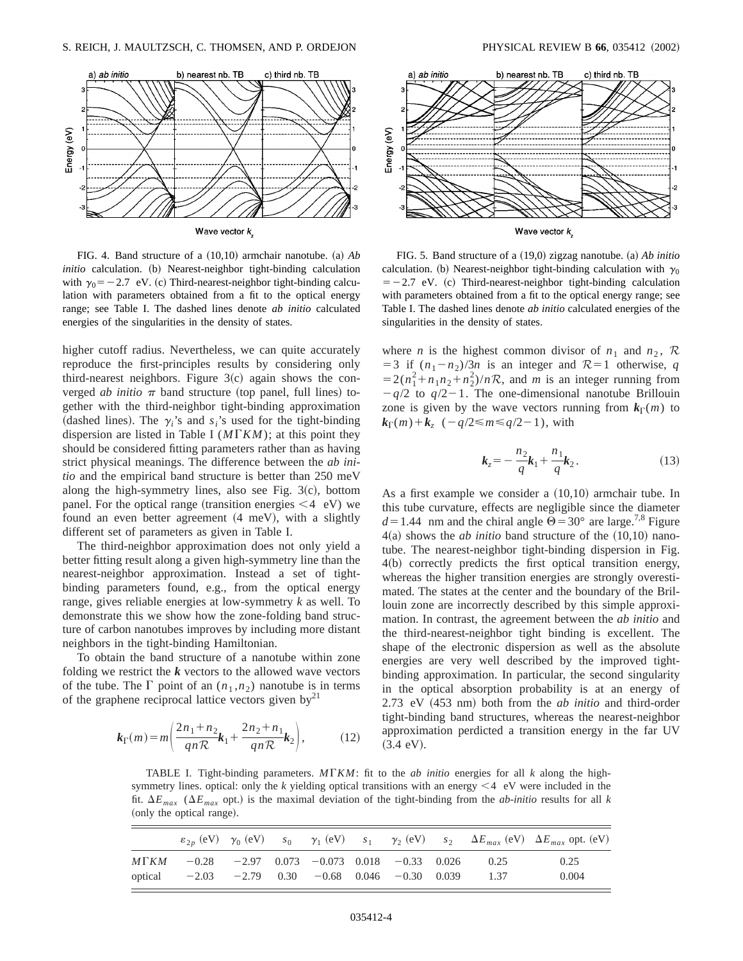

FIG. 4. Band structure of a  $(10,10)$  armchair nanotube.  $(a)$  *Ab initio* calculation. (b) Nearest-neighbor tight-binding calculation with  $\gamma_0 = -2.7$  eV. (c) Third-nearest-neighbor tight-binding calculation with parameters obtained from a fit to the optical energy range; see Table I. The dashed lines denote *ab initio* calculated energies of the singularities in the density of states.

higher cutoff radius. Nevertheless, we can quite accurately reproduce the first-principles results by considering only third-nearest neighbors. Figure  $3(c)$  again shows the converged *ab initio*  $\pi$  band structure (top panel, full lines) together with the third-neighbor tight-binding approximation (dashed lines). The  $\gamma_i$ 's and  $s_i$ 's used for the tight-binding dispersion are listed in Table I ( $M\Gamma K M$ ); at this point they should be considered fitting parameters rather than as having strict physical meanings. The difference between the *ab initio* and the empirical band structure is better than 250 meV along the high-symmetry lines, also see Fig.  $3(c)$ , bottom panel. For the optical range (transition energies  $\leq 4$  eV) we found an even better agreement  $(4 \text{ meV})$ , with a slightly different set of parameters as given in Table I.

The third-neighbor approximation does not only yield a better fitting result along a given high-symmetry line than the nearest-neighbor approximation. Instead a set of tightbinding parameters found, e.g., from the optical energy range, gives reliable energies at low-symmetry *k* as well. To demonstrate this we show how the zone-folding band structure of carbon nanotubes improves by including more distant neighbors in the tight-binding Hamiltonian.

To obtain the band structure of a nanotube within zone folding we restrict the *k* vectors to the allowed wave vectors of the tube. The  $\Gamma$  point of an  $(n_1, n_2)$  nanotube is in terms of the graphene reciprocal lattice vectors given by<sup>21</sup>

$$
k_{\Gamma}(m) = m \left( \frac{2n_1 + n_2}{qn\mathcal{R}} k_1 + \frac{2n_2 + n_1}{qn\mathcal{R}} k_2 \right),
$$
 (12)



FIG. 5. Band structure of a  $(19,0)$  zigzag nanotube. (a) *Ab initio* calculation. (b) Nearest-neighbor tight-binding calculation with  $\gamma_0$  $=$  -2.7 eV. (c) Third-nearest-neighbor tight-binding calculation with parameters obtained from a fit to the optical energy range; see Table I. The dashed lines denote *ab initio* calculated energies of the singularities in the density of states.

where *n* is the highest common divisor of  $n_1$  and  $n_2$ ,  $\mathcal{R}$  $=$  3 if  $(n_1 - n_2)/3n$  is an integer and  $\mathcal{R}=1$  otherwise, *q*  $=2(n_1^2+n_1n_2+n_2^2)/nR$ , and *m* is an integer running from  $-q/2$  to  $q/2-1$ . The one-dimensional nanotube Brillouin zone is given by the wave vectors running from  $k_{\Gamma}(m)$  to  $k_{\Gamma}(m) + k_{z} \left( -q/2 \le m \le q/2 - 1 \right)$ , with

$$
k_z = -\frac{n_2}{q}k_1 + \frac{n_1}{q}k_2.
$$
 (13)

As a first example we consider a  $(10,10)$  armchair tube. In this tube curvature, effects are negligible since the diameter  $d=1.44$  nm and the chiral angle  $\Theta = 30^{\circ}$  are large.<sup>7,8</sup> Figure  $4(a)$  shows the *ab initio* band structure of the  $(10,10)$  nanotube. The nearest-neighbor tight-binding dispersion in Fig.  $4(b)$  correctly predicts the first optical transition energy, whereas the higher transition energies are strongly overestimated. The states at the center and the boundary of the Brillouin zone are incorrectly described by this simple approximation. In contrast, the agreement between the *ab initio* and the third-nearest-neighbor tight binding is excellent. The shape of the electronic dispersion as well as the absolute energies are very well described by the improved tightbinding approximation. In particular, the second singularity in the optical absorption probability is at an energy of 2.73 eV (453 nm) both from the *ab initio* and third-order tight-binding band structures, whereas the nearest-neighbor approximation perdicted a transition energy in the far UV  $(3.4 \text{ eV}).$ 

TABLE I. Tight-binding parameters.  $M\Gamma K M$ : fit to the *ab initio* energies for all *k* along the highsymmetry lines. optical: only the  $k$  yielding optical transitions with an energy  $\leq 4$  eV were included in the fit.  $\Delta E_{max}$  ( $\Delta E_{max}$  opt.) is the maximal deviation of the tight-binding from the *ab-initio* results for all *k* (only the optical range).

|         |                                                         |  |  |  |      | $\varepsilon_{2p}$ (eV) $\gamma_0$ (eV) $s_0$ $\gamma_1$ (eV) $s_1$ $\gamma_2$ (eV) $s_2$ $\Delta E_{max}$ (eV) $\Delta E_{max}$ opt. (eV) |
|---------|---------------------------------------------------------|--|--|--|------|--------------------------------------------------------------------------------------------------------------------------------------------|
|         | $M\Gamma KM$ -0.28 -2.97 0.073 -0.073 0.018 -0.33 0.026 |  |  |  | 0.25 | 0.25                                                                                                                                       |
| optical | $-2.03$ $-2.79$ 0.30 $-0.68$ 0.046 $-0.30$ 0.039        |  |  |  | 1.37 | 0.004                                                                                                                                      |